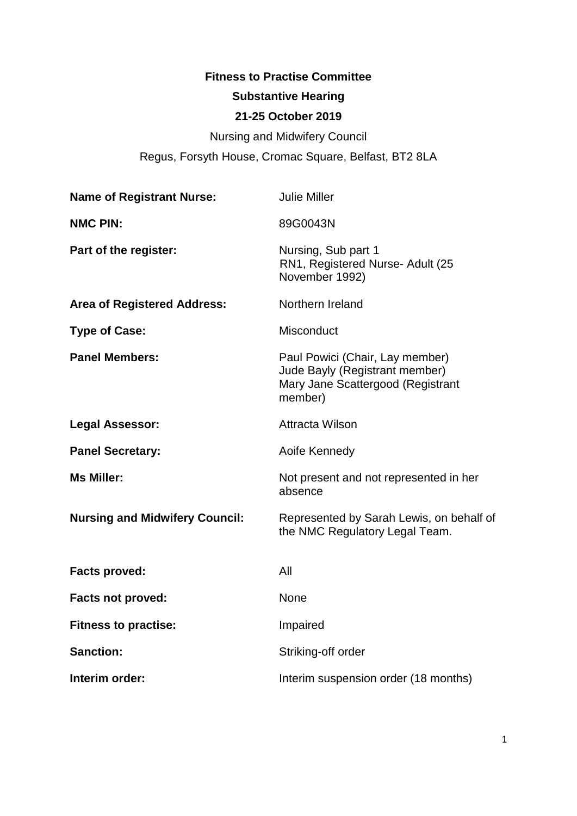# **Fitness to Practise Committee Substantive Hearing**

# **21-25 October 2019**

Nursing and Midwifery Council Regus, Forsyth House, Cromac Square, Belfast, BT2 8LA

| <b>Name of Registrant Nurse:</b>      | <b>Julie Miller</b>                                                                                               |
|---------------------------------------|-------------------------------------------------------------------------------------------------------------------|
| <b>NMC PIN:</b>                       | 89G0043N                                                                                                          |
| Part of the register:                 | Nursing, Sub part 1<br>RN1, Registered Nurse- Adult (25<br>November 1992)                                         |
| <b>Area of Registered Address:</b>    | Northern Ireland                                                                                                  |
| <b>Type of Case:</b>                  | <b>Misconduct</b>                                                                                                 |
| <b>Panel Members:</b>                 | Paul Powici (Chair, Lay member)<br>Jude Bayly (Registrant member)<br>Mary Jane Scattergood (Registrant<br>member) |
| <b>Legal Assessor:</b>                | <b>Attracta Wilson</b>                                                                                            |
| <b>Panel Secretary:</b>               | Aoife Kennedy                                                                                                     |
| <b>Ms Miller:</b>                     | Not present and not represented in her<br>absence                                                                 |
| <b>Nursing and Midwifery Council:</b> | Represented by Sarah Lewis, on behalf of<br>the NMC Regulatory Legal Team.                                        |
| <b>Facts proved:</b>                  | All                                                                                                               |
| <b>Facts not proved:</b>              | <b>None</b>                                                                                                       |
| <b>Fitness to practise:</b>           | Impaired                                                                                                          |
| <b>Sanction:</b>                      | Striking-off order                                                                                                |
| Interim order:                        | Interim suspension order (18 months)                                                                              |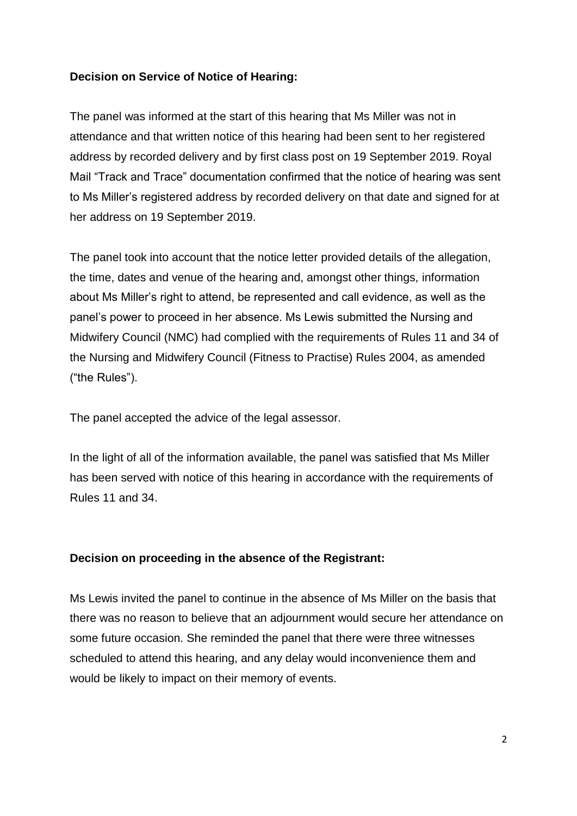### **Decision on Service of Notice of Hearing:**

The panel was informed at the start of this hearing that Ms Miller was not in attendance and that written notice of this hearing had been sent to her registered address by recorded delivery and by first class post on 19 September 2019. Royal Mail "Track and Trace" documentation confirmed that the notice of hearing was sent to Ms Miller's registered address by recorded delivery on that date and signed for at her address on 19 September 2019.

The panel took into account that the notice letter provided details of the allegation, the time, dates and venue of the hearing and, amongst other things, information about Ms Miller's right to attend, be represented and call evidence, as well as the panel's power to proceed in her absence. Ms Lewis submitted the Nursing and Midwifery Council (NMC) had complied with the requirements of Rules 11 and 34 of the Nursing and Midwifery Council (Fitness to Practise) Rules 2004, as amended ("the Rules").

The panel accepted the advice of the legal assessor.

In the light of all of the information available, the panel was satisfied that Ms Miller has been served with notice of this hearing in accordance with the requirements of Rules 11 and 34.

#### **Decision on proceeding in the absence of the Registrant:**

Ms Lewis invited the panel to continue in the absence of Ms Miller on the basis that there was no reason to believe that an adjournment would secure her attendance on some future occasion. She reminded the panel that there were three witnesses scheduled to attend this hearing, and any delay would inconvenience them and would be likely to impact on their memory of events.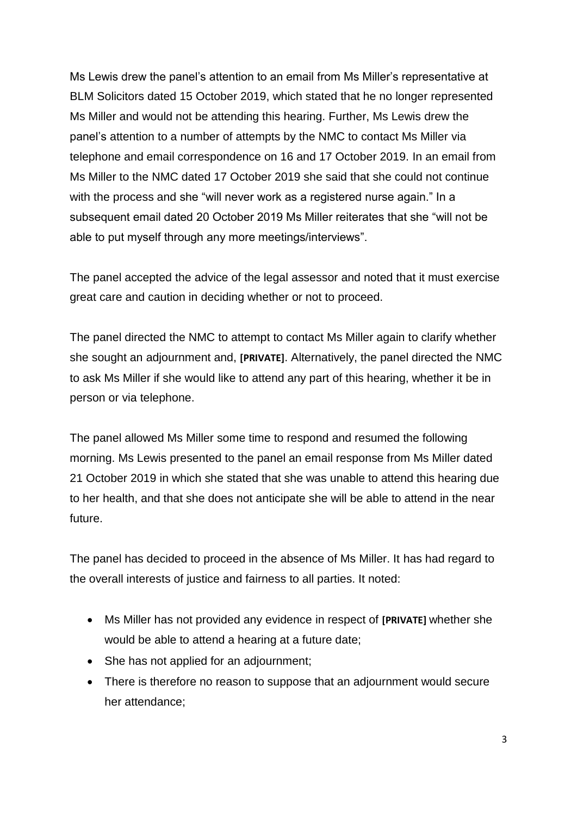Ms Lewis drew the panel's attention to an email from Ms Miller's representative at BLM Solicitors dated 15 October 2019, which stated that he no longer represented Ms Miller and would not be attending this hearing. Further, Ms Lewis drew the panel's attention to a number of attempts by the NMC to contact Ms Miller via telephone and email correspondence on 16 and 17 October 2019. In an email from Ms Miller to the NMC dated 17 October 2019 she said that she could not continue with the process and she "will never work as a registered nurse again." In a subsequent email dated 20 October 2019 Ms Miller reiterates that she "will not be able to put myself through any more meetings/interviews".

The panel accepted the advice of the legal assessor and noted that it must exercise great care and caution in deciding whether or not to proceed.

The panel directed the NMC to attempt to contact Ms Miller again to clarify whether she sought an adjournment and, **[PRIVATE]**. Alternatively, the panel directed the NMC to ask Ms Miller if she would like to attend any part of this hearing, whether it be in person or via telephone.

The panel allowed Ms Miller some time to respond and resumed the following morning. Ms Lewis presented to the panel an email response from Ms Miller dated 21 October 2019 in which she stated that she was unable to attend this hearing due to her health, and that she does not anticipate she will be able to attend in the near future.

The panel has decided to proceed in the absence of Ms Miller. It has had regard to the overall interests of justice and fairness to all parties. It noted:

- Ms Miller has not provided any evidence in respect of **[PRIVATE]** whether she would be able to attend a hearing at a future date;
- She has not applied for an adjournment;
- There is therefore no reason to suppose that an adjournment would secure her attendance;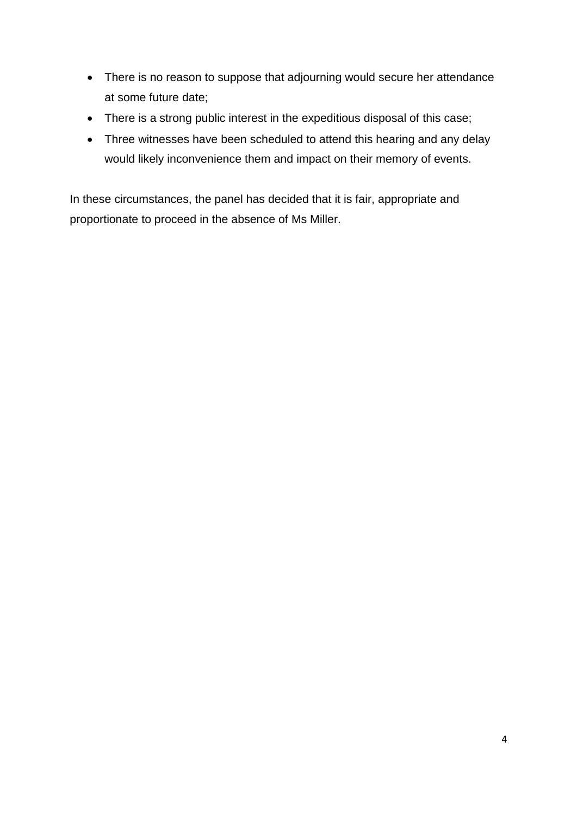- There is no reason to suppose that adjourning would secure her attendance at some future date;
- There is a strong public interest in the expeditious disposal of this case;
- Three witnesses have been scheduled to attend this hearing and any delay would likely inconvenience them and impact on their memory of events.

In these circumstances, the panel has decided that it is fair, appropriate and proportionate to proceed in the absence of Ms Miller.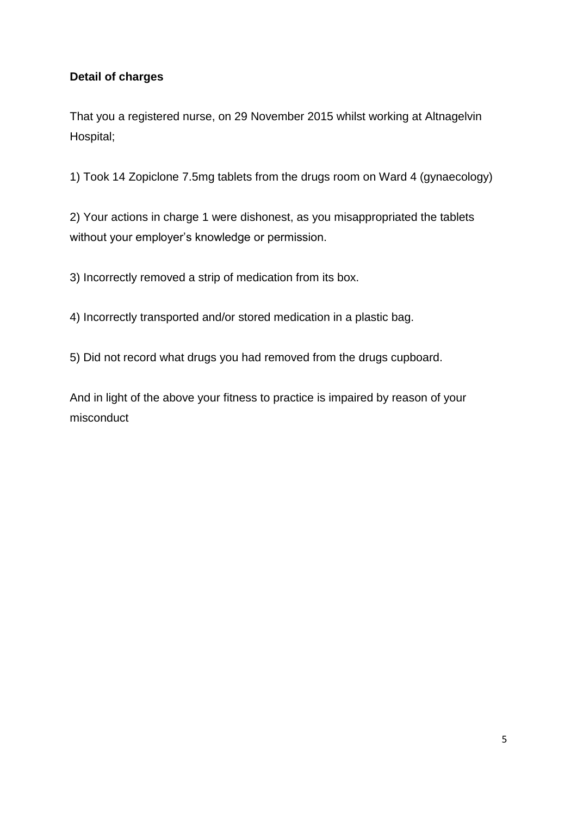# **Detail of charges**

That you a registered nurse, on 29 November 2015 whilst working at Altnagelvin Hospital;

1) Took 14 Zopiclone 7.5mg tablets from the drugs room on Ward 4 (gynaecology)

2) Your actions in charge 1 were dishonest, as you misappropriated the tablets without your employer's knowledge or permission.

3) Incorrectly removed a strip of medication from its box.

4) Incorrectly transported and/or stored medication in a plastic bag.

5) Did not record what drugs you had removed from the drugs cupboard.

And in light of the above your fitness to practice is impaired by reason of your misconduct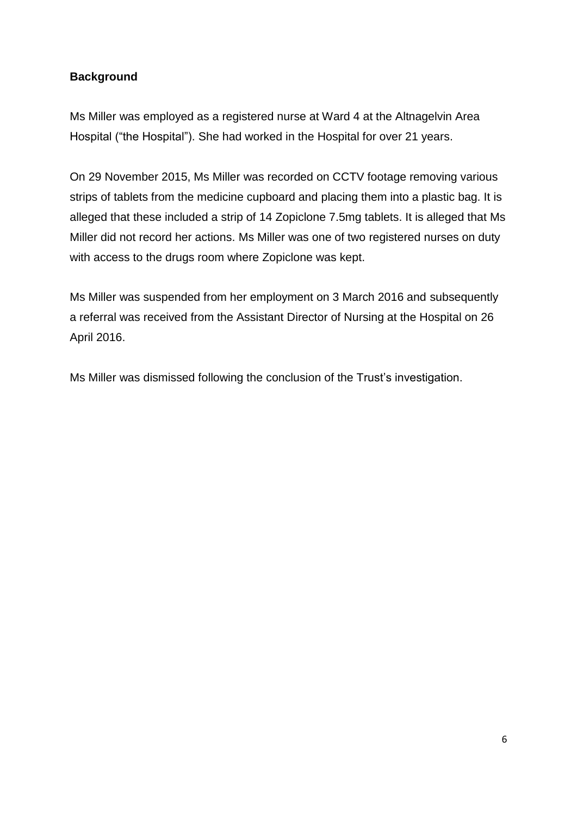# **Background**

Ms Miller was employed as a registered nurse at Ward 4 at the Altnagelvin Area Hospital ("the Hospital"). She had worked in the Hospital for over 21 years.

On 29 November 2015, Ms Miller was recorded on CCTV footage removing various strips of tablets from the medicine cupboard and placing them into a plastic bag. It is alleged that these included a strip of 14 Zopiclone 7.5mg tablets. It is alleged that Ms Miller did not record her actions. Ms Miller was one of two registered nurses on duty with access to the drugs room where Zopiclone was kept.

Ms Miller was suspended from her employment on 3 March 2016 and subsequently a referral was received from the Assistant Director of Nursing at the Hospital on 26 April 2016.

Ms Miller was dismissed following the conclusion of the Trust's investigation.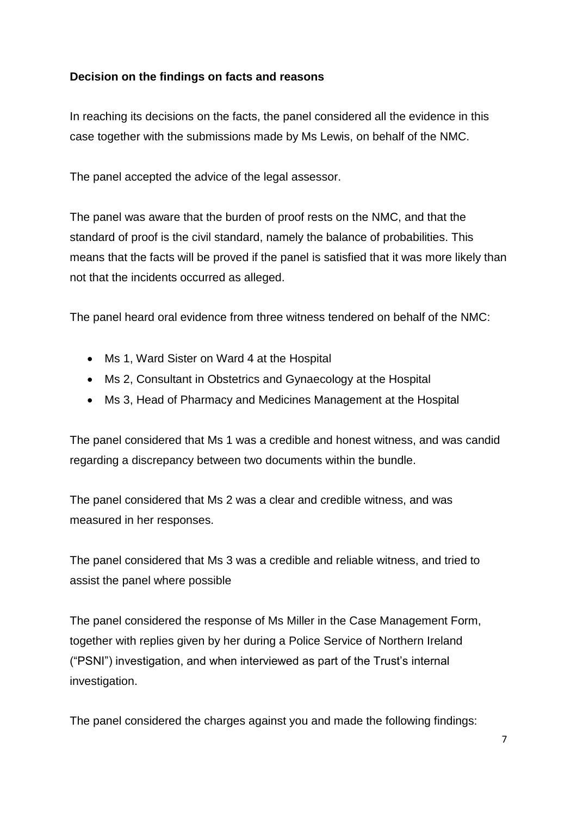### **Decision on the findings on facts and reasons**

In reaching its decisions on the facts, the panel considered all the evidence in this case together with the submissions made by Ms Lewis, on behalf of the NMC.

The panel accepted the advice of the legal assessor.

The panel was aware that the burden of proof rests on the NMC, and that the standard of proof is the civil standard, namely the balance of probabilities. This means that the facts will be proved if the panel is satisfied that it was more likely than not that the incidents occurred as alleged.

The panel heard oral evidence from three witness tendered on behalf of the NMC:

- Ms 1, Ward Sister on Ward 4 at the Hospital
- Ms 2, Consultant in Obstetrics and Gynaecology at the Hospital
- Ms 3, Head of Pharmacy and Medicines Management at the Hospital

The panel considered that Ms 1 was a credible and honest witness, and was candid regarding a discrepancy between two documents within the bundle.

The panel considered that Ms 2 was a clear and credible witness, and was measured in her responses.

The panel considered that Ms 3 was a credible and reliable witness, and tried to assist the panel where possible

The panel considered the response of Ms Miller in the Case Management Form, together with replies given by her during a Police Service of Northern Ireland ("PSNI") investigation, and when interviewed as part of the Trust's internal investigation.

The panel considered the charges against you and made the following findings: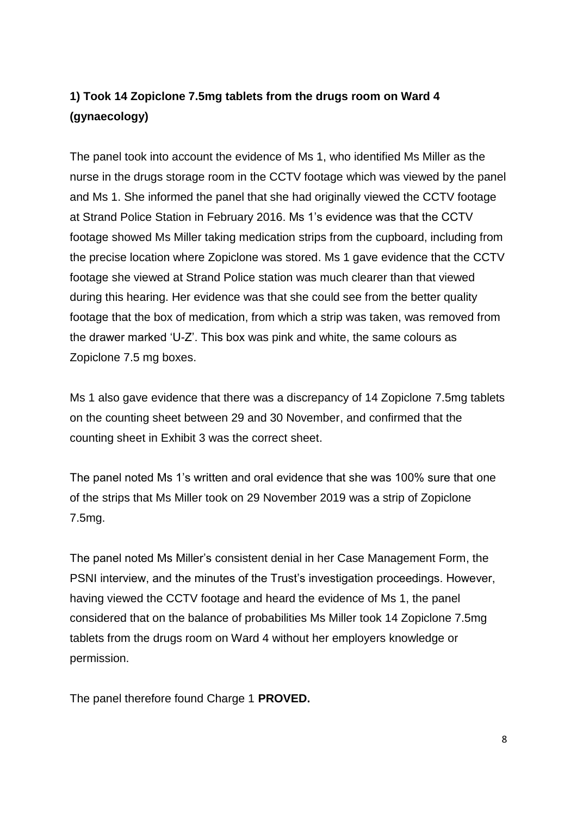# **1) Took 14 Zopiclone 7.5mg tablets from the drugs room on Ward 4 (gynaecology)**

The panel took into account the evidence of Ms 1, who identified Ms Miller as the nurse in the drugs storage room in the CCTV footage which was viewed by the panel and Ms 1. She informed the panel that she had originally viewed the CCTV footage at Strand Police Station in February 2016. Ms 1's evidence was that the CCTV footage showed Ms Miller taking medication strips from the cupboard, including from the precise location where Zopiclone was stored. Ms 1 gave evidence that the CCTV footage she viewed at Strand Police station was much clearer than that viewed during this hearing. Her evidence was that she could see from the better quality footage that the box of medication, from which a strip was taken, was removed from the drawer marked 'U-Z'. This box was pink and white, the same colours as Zopiclone 7.5 mg boxes.

Ms 1 also gave evidence that there was a discrepancy of 14 Zopiclone 7.5mg tablets on the counting sheet between 29 and 30 November, and confirmed that the counting sheet in Exhibit 3 was the correct sheet.

The panel noted Ms 1's written and oral evidence that she was 100% sure that one of the strips that Ms Miller took on 29 November 2019 was a strip of Zopiclone 7.5mg.

The panel noted Ms Miller's consistent denial in her Case Management Form, the PSNI interview, and the minutes of the Trust's investigation proceedings. However, having viewed the CCTV footage and heard the evidence of Ms 1, the panel considered that on the balance of probabilities Ms Miller took 14 Zopiclone 7.5mg tablets from the drugs room on Ward 4 without her employers knowledge or permission.

The panel therefore found Charge 1 **PROVED.**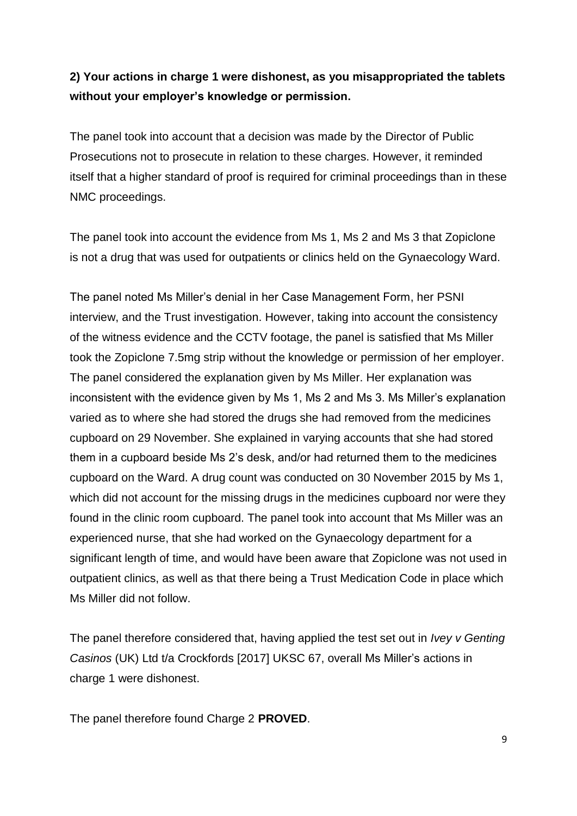# **2) Your actions in charge 1 were dishonest, as you misappropriated the tablets without your employer's knowledge or permission.**

The panel took into account that a decision was made by the Director of Public Prosecutions not to prosecute in relation to these charges. However, it reminded itself that a higher standard of proof is required for criminal proceedings than in these NMC proceedings.

The panel took into account the evidence from Ms 1, Ms 2 and Ms 3 that Zopiclone is not a drug that was used for outpatients or clinics held on the Gynaecology Ward.

The panel noted Ms Miller's denial in her Case Management Form, her PSNI interview, and the Trust investigation. However, taking into account the consistency of the witness evidence and the CCTV footage, the panel is satisfied that Ms Miller took the Zopiclone 7.5mg strip without the knowledge or permission of her employer. The panel considered the explanation given by Ms Miller. Her explanation was inconsistent with the evidence given by Ms 1, Ms 2 and Ms 3. Ms Miller's explanation varied as to where she had stored the drugs she had removed from the medicines cupboard on 29 November. She explained in varying accounts that she had stored them in a cupboard beside Ms 2's desk, and/or had returned them to the medicines cupboard on the Ward. A drug count was conducted on 30 November 2015 by Ms 1, which did not account for the missing drugs in the medicines cupboard nor were they found in the clinic room cupboard. The panel took into account that Ms Miller was an experienced nurse, that she had worked on the Gynaecology department for a significant length of time, and would have been aware that Zopiclone was not used in outpatient clinics, as well as that there being a Trust Medication Code in place which Ms Miller did not follow.

The panel therefore considered that, having applied the test set out in *Ivey v Genting Casinos* (UK) Ltd t/a Crockfords [2017] UKSC 67, overall Ms Miller's actions in charge 1 were dishonest.

The panel therefore found Charge 2 **PROVED**.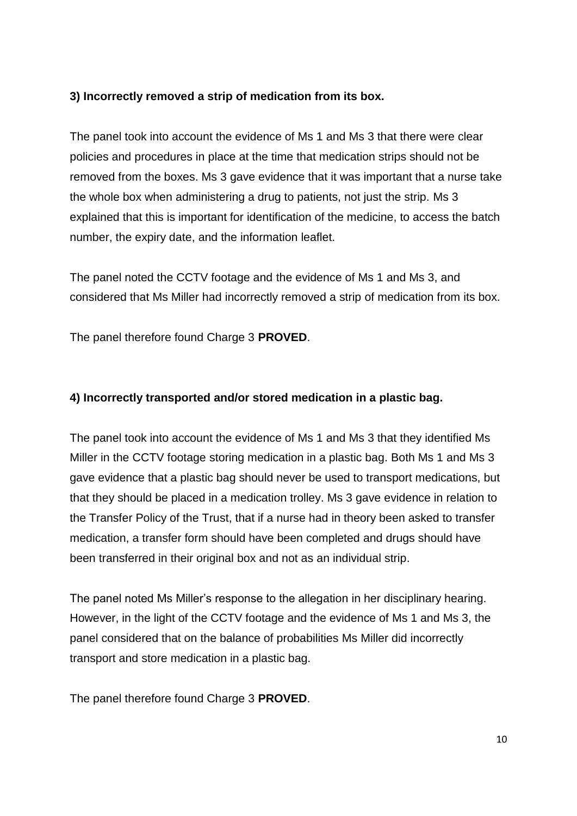### **3) Incorrectly removed a strip of medication from its box.**

The panel took into account the evidence of Ms 1 and Ms 3 that there were clear policies and procedures in place at the time that medication strips should not be removed from the boxes. Ms 3 gave evidence that it was important that a nurse take the whole box when administering a drug to patients, not just the strip. Ms 3 explained that this is important for identification of the medicine, to access the batch number, the expiry date, and the information leaflet.

The panel noted the CCTV footage and the evidence of Ms 1 and Ms 3, and considered that Ms Miller had incorrectly removed a strip of medication from its box.

The panel therefore found Charge 3 **PROVED**.

### **4) Incorrectly transported and/or stored medication in a plastic bag.**

The panel took into account the evidence of Ms 1 and Ms 3 that they identified Ms Miller in the CCTV footage storing medication in a plastic bag. Both Ms 1 and Ms 3 gave evidence that a plastic bag should never be used to transport medications, but that they should be placed in a medication trolley. Ms 3 gave evidence in relation to the Transfer Policy of the Trust, that if a nurse had in theory been asked to transfer medication, a transfer form should have been completed and drugs should have been transferred in their original box and not as an individual strip.

The panel noted Ms Miller's response to the allegation in her disciplinary hearing. However, in the light of the CCTV footage and the evidence of Ms 1 and Ms 3, the panel considered that on the balance of probabilities Ms Miller did incorrectly transport and store medication in a plastic bag.

The panel therefore found Charge 3 **PROVED**.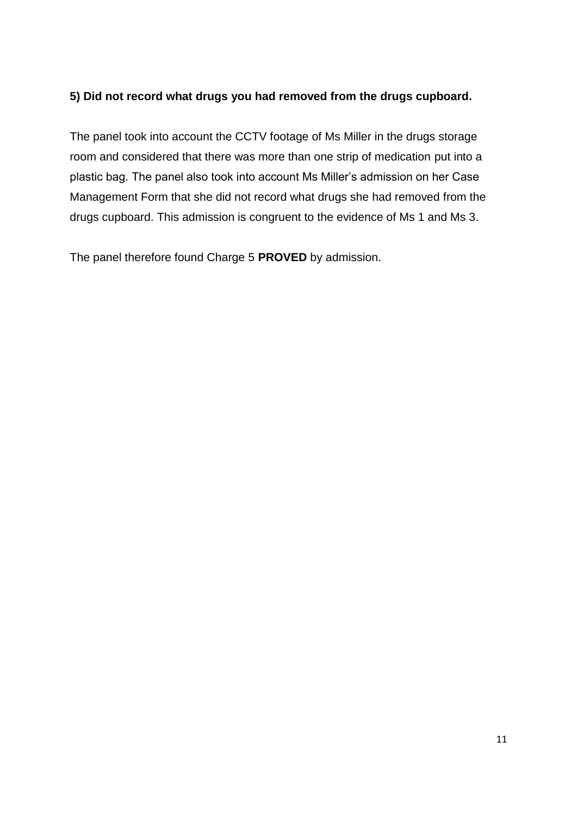# **5) Did not record what drugs you had removed from the drugs cupboard.**

The panel took into account the CCTV footage of Ms Miller in the drugs storage room and considered that there was more than one strip of medication put into a plastic bag. The panel also took into account Ms Miller's admission on her Case Management Form that she did not record what drugs she had removed from the drugs cupboard. This admission is congruent to the evidence of Ms 1 and Ms 3.

The panel therefore found Charge 5 **PROVED** by admission.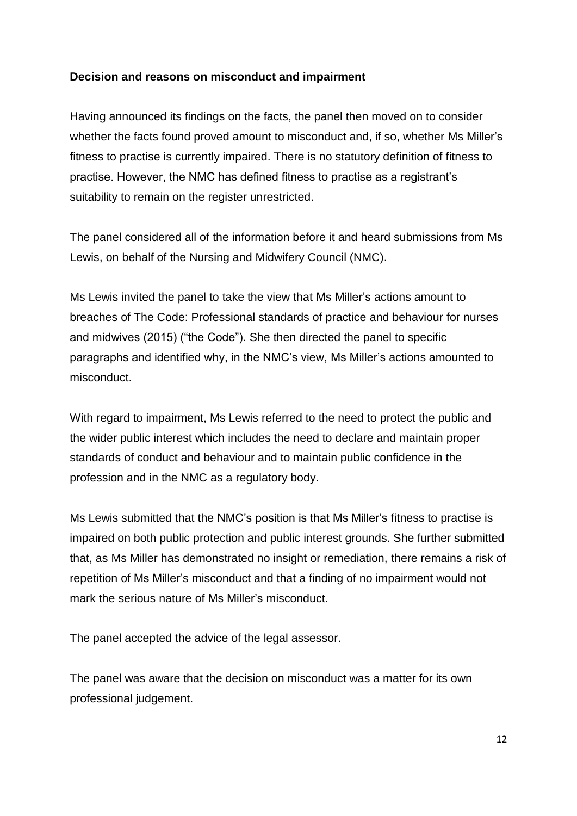### **Decision and reasons on misconduct and impairment**

Having announced its findings on the facts, the panel then moved on to consider whether the facts found proved amount to misconduct and, if so, whether Ms Miller's fitness to practise is currently impaired. There is no statutory definition of fitness to practise. However, the NMC has defined fitness to practise as a registrant's suitability to remain on the register unrestricted.

The panel considered all of the information before it and heard submissions from Ms Lewis, on behalf of the Nursing and Midwifery Council (NMC).

Ms Lewis invited the panel to take the view that Ms Miller's actions amount to breaches of The Code: Professional standards of practice and behaviour for nurses and midwives (2015) ("the Code"). She then directed the panel to specific paragraphs and identified why, in the NMC's view, Ms Miller's actions amounted to misconduct.

With regard to impairment, Ms Lewis referred to the need to protect the public and the wider public interest which includes the need to declare and maintain proper standards of conduct and behaviour and to maintain public confidence in the profession and in the NMC as a regulatory body.

Ms Lewis submitted that the NMC's position is that Ms Miller's fitness to practise is impaired on both public protection and public interest grounds. She further submitted that, as Ms Miller has demonstrated no insight or remediation, there remains a risk of repetition of Ms Miller's misconduct and that a finding of no impairment would not mark the serious nature of Ms Miller's misconduct.

The panel accepted the advice of the legal assessor.

The panel was aware that the decision on misconduct was a matter for its own professional judgement.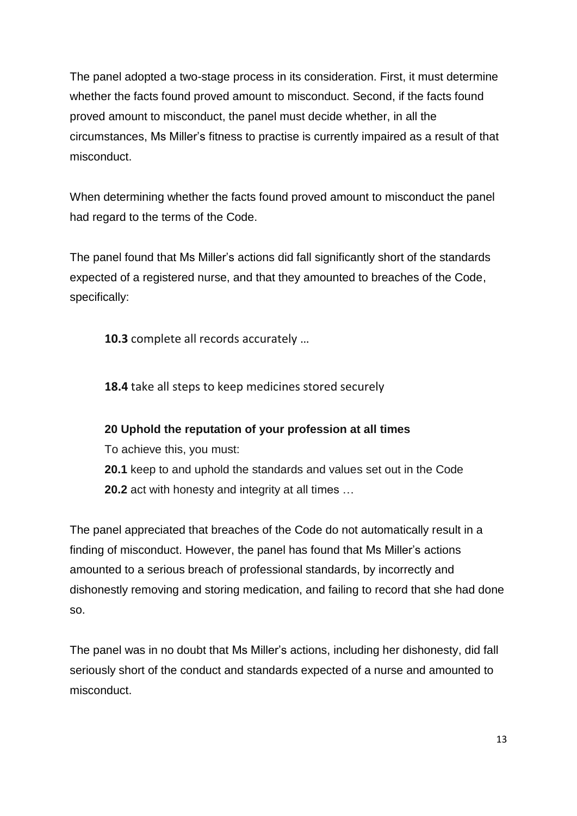The panel adopted a two-stage process in its consideration. First, it must determine whether the facts found proved amount to misconduct. Second, if the facts found proved amount to misconduct, the panel must decide whether, in all the circumstances, Ms Miller's fitness to practise is currently impaired as a result of that misconduct.

When determining whether the facts found proved amount to misconduct the panel had regard to the terms of the Code.

The panel found that Ms Miller's actions did fall significantly short of the standards expected of a registered nurse, and that they amounted to breaches of the Code, specifically:

**10.3** complete all records accurately …

**18.4** take all steps to keep medicines stored securely

# **20 Uphold the reputation of your profession at all times**

To achieve this, you must:

**20.1** keep to and uphold the standards and values set out in the Code **20.2** act with honesty and integrity at all times …

The panel appreciated that breaches of the Code do not automatically result in a finding of misconduct. However, the panel has found that Ms Miller's actions amounted to a serious breach of professional standards, by incorrectly and dishonestly removing and storing medication, and failing to record that she had done so.

The panel was in no doubt that Ms Miller's actions, including her dishonesty, did fall seriously short of the conduct and standards expected of a nurse and amounted to misconduct.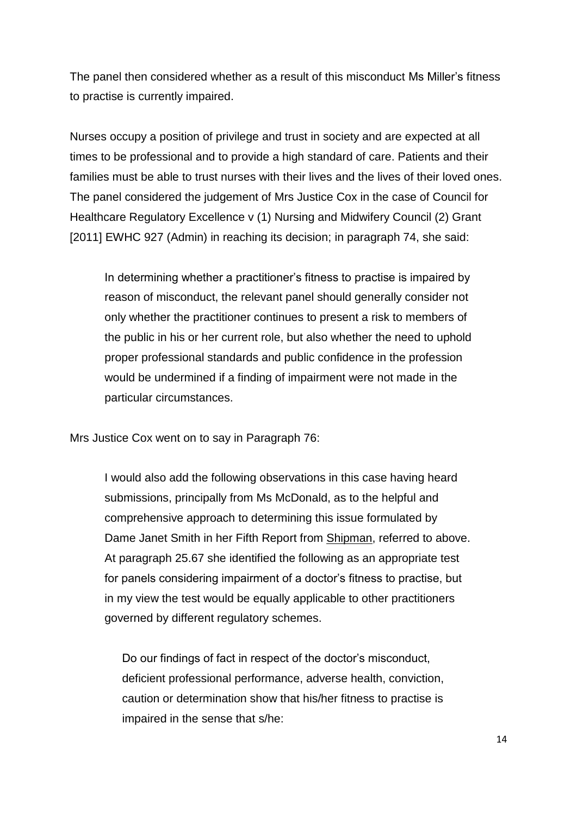The panel then considered whether as a result of this misconduct Ms Miller's fitness to practise is currently impaired.

Nurses occupy a position of privilege and trust in society and are expected at all times to be professional and to provide a high standard of care. Patients and their families must be able to trust nurses with their lives and the lives of their loved ones. The panel considered the judgement of Mrs Justice Cox in the case of Council for Healthcare Regulatory Excellence v (1) Nursing and Midwifery Council (2) Grant [2011] EWHC 927 (Admin) in reaching its decision; in paragraph 74, she said:

In determining whether a practitioner's fitness to practise is impaired by reason of misconduct, the relevant panel should generally consider not only whether the practitioner continues to present a risk to members of the public in his or her current role, but also whether the need to uphold proper professional standards and public confidence in the profession would be undermined if a finding of impairment were not made in the particular circumstances.

Mrs Justice Cox went on to say in Paragraph 76:

I would also add the following observations in this case having heard submissions, principally from Ms McDonald, as to the helpful and comprehensive approach to determining this issue formulated by Dame Janet Smith in her Fifth Report from Shipman, referred to above. At paragraph 25.67 she identified the following as an appropriate test for panels considering impairment of a doctor's fitness to practise, but in my view the test would be equally applicable to other practitioners governed by different regulatory schemes.

Do our findings of fact in respect of the doctor's misconduct, deficient professional performance, adverse health, conviction, caution or determination show that his/her fitness to practise is impaired in the sense that s/he: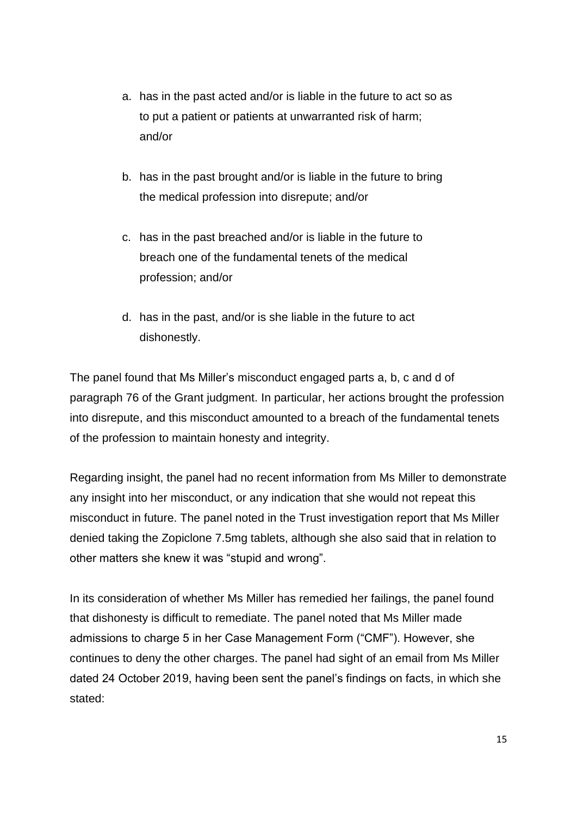- a. has in the past acted and/or is liable in the future to act so as to put a patient or patients at unwarranted risk of harm; and/or
- b. has in the past brought and/or is liable in the future to bring the medical profession into disrepute; and/or
- c. has in the past breached and/or is liable in the future to breach one of the fundamental tenets of the medical profession; and/or
- d. has in the past, and/or is she liable in the future to act dishonestly.

The panel found that Ms Miller's misconduct engaged parts a, b, c and d of paragraph 76 of the Grant judgment. In particular, her actions brought the profession into disrepute, and this misconduct amounted to a breach of the fundamental tenets of the profession to maintain honesty and integrity.

Regarding insight, the panel had no recent information from Ms Miller to demonstrate any insight into her misconduct, or any indication that she would not repeat this misconduct in future. The panel noted in the Trust investigation report that Ms Miller denied taking the Zopiclone 7.5mg tablets, although she also said that in relation to other matters she knew it was "stupid and wrong".

In its consideration of whether Ms Miller has remedied her failings, the panel found that dishonesty is difficult to remediate. The panel noted that Ms Miller made admissions to charge 5 in her Case Management Form ("CMF"). However, she continues to deny the other charges. The panel had sight of an email from Ms Miller dated 24 October 2019, having been sent the panel's findings on facts, in which she stated: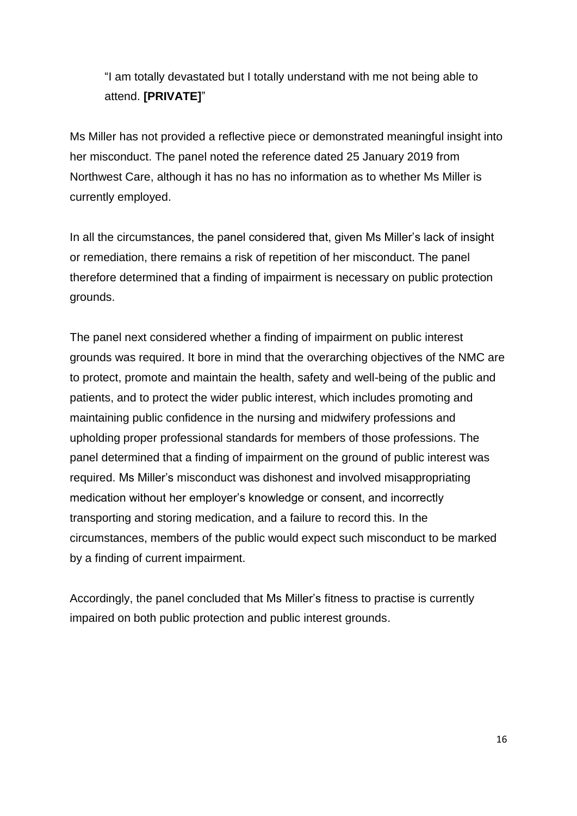"I am totally devastated but I totally understand with me not being able to attend. **[PRIVATE]**"

Ms Miller has not provided a reflective piece or demonstrated meaningful insight into her misconduct. The panel noted the reference dated 25 January 2019 from Northwest Care, although it has no has no information as to whether Ms Miller is currently employed.

In all the circumstances, the panel considered that, given Ms Miller's lack of insight or remediation, there remains a risk of repetition of her misconduct. The panel therefore determined that a finding of impairment is necessary on public protection grounds.

The panel next considered whether a finding of impairment on public interest grounds was required. It bore in mind that the overarching objectives of the NMC are to protect, promote and maintain the health, safety and well-being of the public and patients, and to protect the wider public interest, which includes promoting and maintaining public confidence in the nursing and midwifery professions and upholding proper professional standards for members of those professions. The panel determined that a finding of impairment on the ground of public interest was required. Ms Miller's misconduct was dishonest and involved misappropriating medication without her employer's knowledge or consent, and incorrectly transporting and storing medication, and a failure to record this. In the circumstances, members of the public would expect such misconduct to be marked by a finding of current impairment.

Accordingly, the panel concluded that Ms Miller's fitness to practise is currently impaired on both public protection and public interest grounds.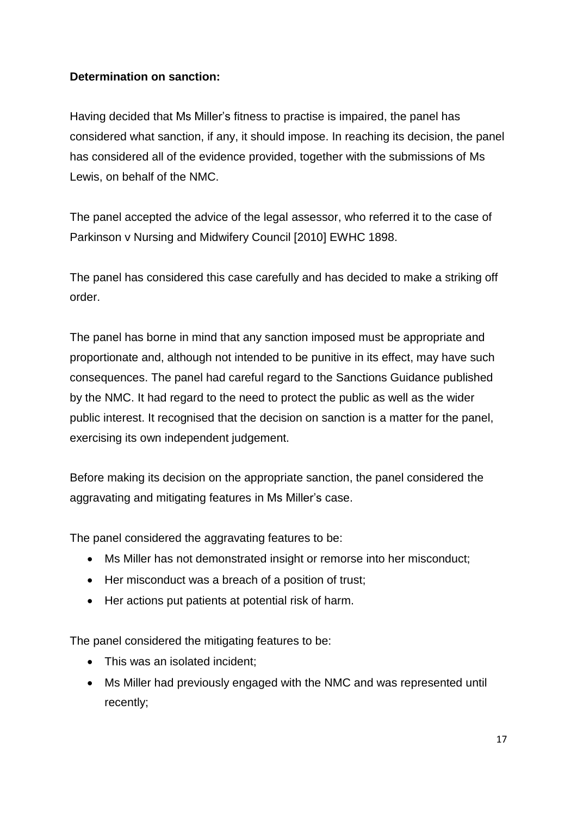## **Determination on sanction:**

Having decided that Ms Miller's fitness to practise is impaired, the panel has considered what sanction, if any, it should impose. In reaching its decision, the panel has considered all of the evidence provided, together with the submissions of Ms Lewis, on behalf of the NMC.

The panel accepted the advice of the legal assessor, who referred it to the case of Parkinson v Nursing and Midwifery Council [2010] EWHC 1898.

The panel has considered this case carefully and has decided to make a striking off order.

The panel has borne in mind that any sanction imposed must be appropriate and proportionate and, although not intended to be punitive in its effect, may have such consequences. The panel had careful regard to the Sanctions Guidance published by the NMC. It had regard to the need to protect the public as well as the wider public interest. It recognised that the decision on sanction is a matter for the panel, exercising its own independent judgement.

Before making its decision on the appropriate sanction, the panel considered the aggravating and mitigating features in Ms Miller's case.

The panel considered the aggravating features to be:

- Ms Miller has not demonstrated insight or remorse into her misconduct;
- Her misconduct was a breach of a position of trust:
- Her actions put patients at potential risk of harm.

The panel considered the mitigating features to be:

- This was an isolated incident;
- Ms Miller had previously engaged with the NMC and was represented until recently;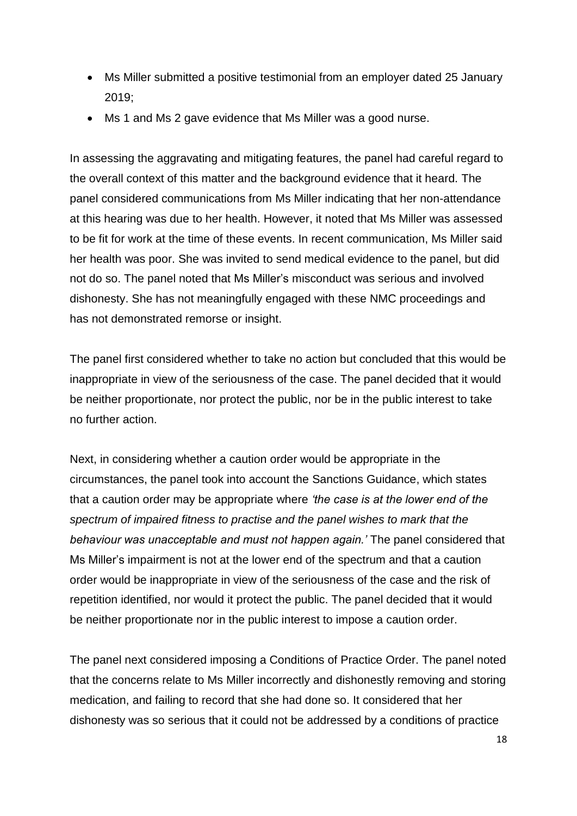- Ms Miller submitted a positive testimonial from an employer dated 25 January 2019;
- Ms 1 and Ms 2 gave evidence that Ms Miller was a good nurse.

In assessing the aggravating and mitigating features, the panel had careful regard to the overall context of this matter and the background evidence that it heard. The panel considered communications from Ms Miller indicating that her non-attendance at this hearing was due to her health. However, it noted that Ms Miller was assessed to be fit for work at the time of these events. In recent communication, Ms Miller said her health was poor. She was invited to send medical evidence to the panel, but did not do so. The panel noted that Ms Miller's misconduct was serious and involved dishonesty. She has not meaningfully engaged with these NMC proceedings and has not demonstrated remorse or insight.

The panel first considered whether to take no action but concluded that this would be inappropriate in view of the seriousness of the case. The panel decided that it would be neither proportionate, nor protect the public, nor be in the public interest to take no further action.

Next, in considering whether a caution order would be appropriate in the circumstances, the panel took into account the Sanctions Guidance, which states that a caution order may be appropriate where *'the case is at the lower end of the spectrum of impaired fitness to practise and the panel wishes to mark that the behaviour was unacceptable and must not happen again.'* The panel considered that Ms Miller's impairment is not at the lower end of the spectrum and that a caution order would be inappropriate in view of the seriousness of the case and the risk of repetition identified, nor would it protect the public. The panel decided that it would be neither proportionate nor in the public interest to impose a caution order.

The panel next considered imposing a Conditions of Practice Order. The panel noted that the concerns relate to Ms Miller incorrectly and dishonestly removing and storing medication, and failing to record that she had done so. It considered that her dishonesty was so serious that it could not be addressed by a conditions of practice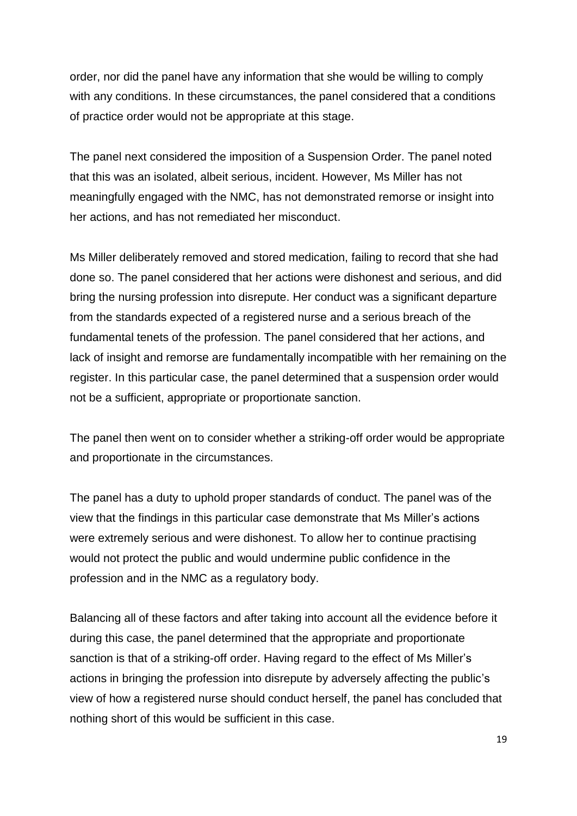order, nor did the panel have any information that she would be willing to comply with any conditions. In these circumstances, the panel considered that a conditions of practice order would not be appropriate at this stage.

The panel next considered the imposition of a Suspension Order. The panel noted that this was an isolated, albeit serious, incident. However, Ms Miller has not meaningfully engaged with the NMC, has not demonstrated remorse or insight into her actions, and has not remediated her misconduct.

Ms Miller deliberately removed and stored medication, failing to record that she had done so. The panel considered that her actions were dishonest and serious, and did bring the nursing profession into disrepute. Her conduct was a significant departure from the standards expected of a registered nurse and a serious breach of the fundamental tenets of the profession. The panel considered that her actions, and lack of insight and remorse are fundamentally incompatible with her remaining on the register. In this particular case, the panel determined that a suspension order would not be a sufficient, appropriate or proportionate sanction.

The panel then went on to consider whether a striking-off order would be appropriate and proportionate in the circumstances.

The panel has a duty to uphold proper standards of conduct. The panel was of the view that the findings in this particular case demonstrate that Ms Miller's actions were extremely serious and were dishonest. To allow her to continue practising would not protect the public and would undermine public confidence in the profession and in the NMC as a regulatory body.

Balancing all of these factors and after taking into account all the evidence before it during this case, the panel determined that the appropriate and proportionate sanction is that of a striking-off order. Having regard to the effect of Ms Miller's actions in bringing the profession into disrepute by adversely affecting the public's view of how a registered nurse should conduct herself, the panel has concluded that nothing short of this would be sufficient in this case.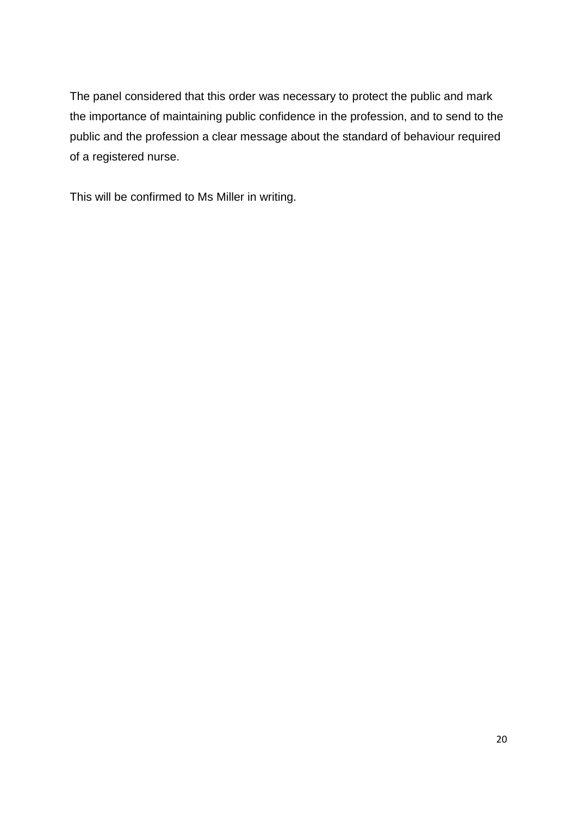The panel considered that this order was necessary to protect the public and mark the importance of maintaining public confidence in the profession, and to send to the public and the profession a clear message about the standard of behaviour required of a registered nurse.

This will be confirmed to Ms Miller in writing.